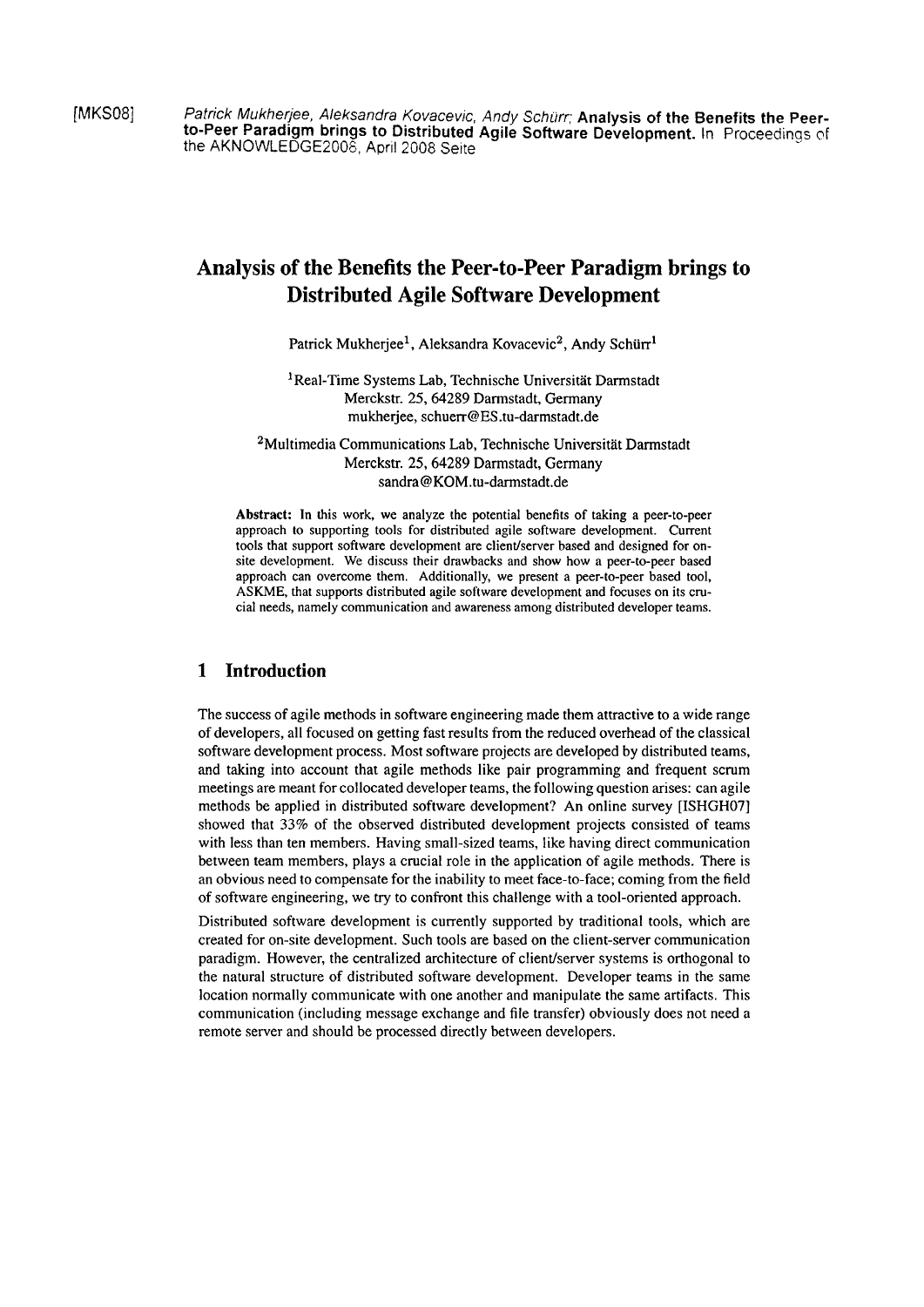[MKS08] Patrick Mukherjee, Aleksandra Kovacevic, Andy Schiirr; **Analysis of the Benefits the Peer**to-Peer Paradigm brings to Distributed Agile Software Development. In Proceedings of the AKNOWLEDGE2G06, April 2008 Seite

# **Analysis of the Benefits the Peer-to-Peer Paradigm brings to Distributed Agile Software Development**

Patrick Mukherjee<sup>1</sup>, Aleksandra Kovacevic<sup>2</sup>, Andy Schürr<sup>1</sup>

<sup>1</sup> Real-Time Systems Lab, Technische Universität Darmstadt Merckstr. 25,64289 Darmstadt, Germany mukherjee, schuerr@ES.tu-darmstadt.de

<sup>2</sup>Multimedia Communications Lab, Technische Universität Darmstadt Merckstr. 25,64289 Darmstadt, Germany sandra@KOM.tu-darmstadt.de

**Abstract:** In this work, we analyze the potential benefits of taking a peer-to-peer approach to supporting tools for distributed agile software development. Current tools that support software development are client/server based and designed for onsite development. We discuss their drawbacks and show how a peer-to-peer based approach can overcome them. Additionally, we present a peer-to-peer based tool, ASKME, that supports distributed agile software development and focuses on its crucial needs, namely communication and awareness among distributed developer teams.

## **1 Introduction**

The success of agile methods in software engineering made them attractive to a wide range of developers, all focused on getting fast results from the reduced overhead of the classical software development process. Most software projects are developed by distributed teams, and taking into account that agile methods like pair programming and frequent scrum meetings are meant for collocated developer teams, the following question arises: can agile methods be applied in distributed software development? An online survey [ISHGH07] showed that 33% of the observed distributed development projects consisted of teams with less than ten members. Having small-sized teams, like having direct communication between team members, plays a crucial role in the application of agile methods. There is an obvious need to compensate for the inability to meet face-to-face; coming from the field of software engineering, we **try** to confront this challenge with a tool-oriented approach.

Distributed software development is currently supported by traditional tools, which are created for on-site development. Such tools are based on the client-server cornmunication paradigm. However, the centralized architecture of client/server Systems is orthogonal to the natural structure of distributed software development. Developer teams in the same location normally communicate with one another and manipulate the same artifacts. This communication (including message exchange and file transfer) obviously does not need a remote server and should be processed directly between developers.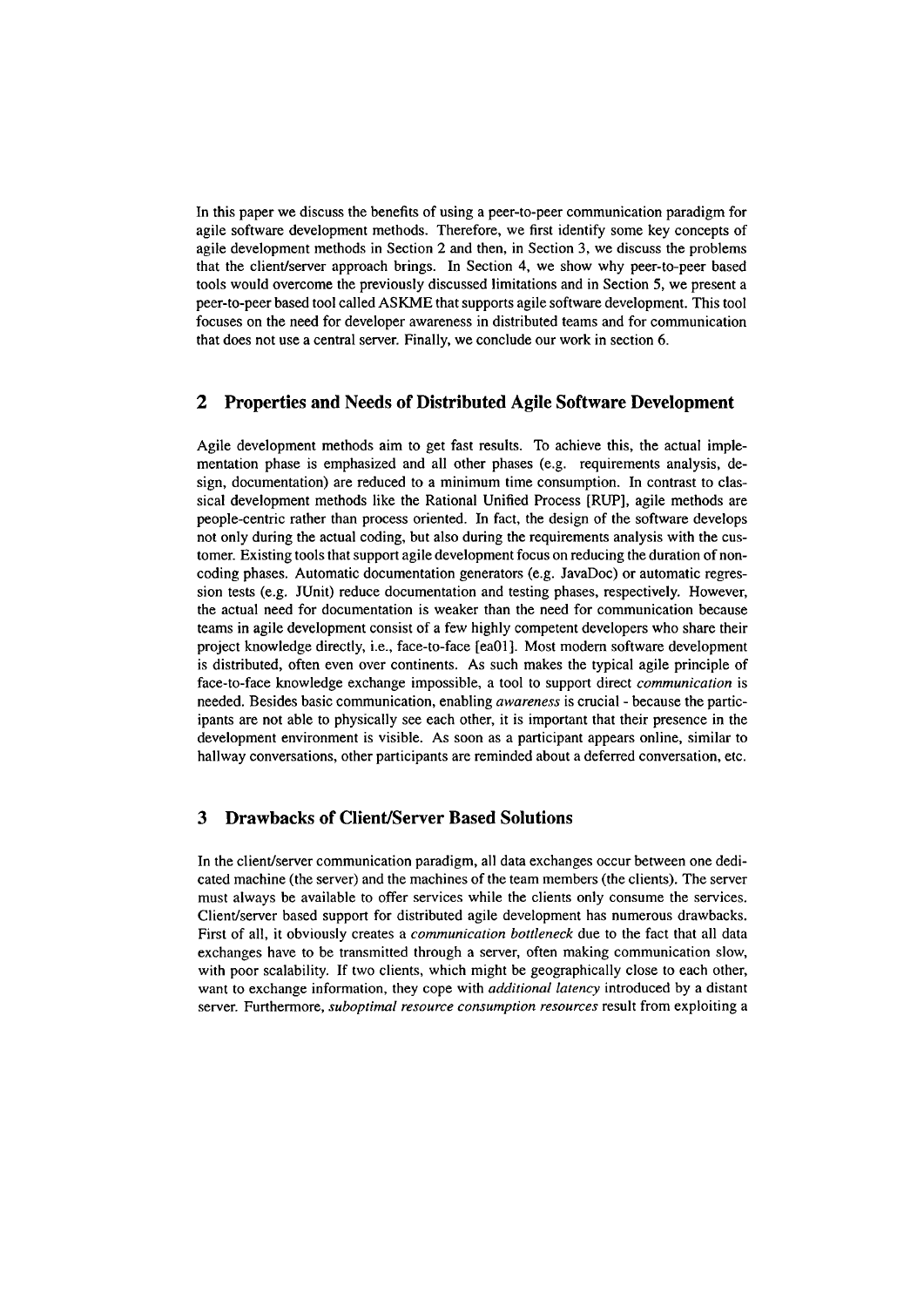In this paper we discuss the benefits of using a peer-to-peer communication paradigm for agile software development methods. Therefore, we first identify some key concepts of agile development methods in Section 2 and then, in Section **3,** we discuss the problems that the clientlserver approach brings. In Section 4, we show why peer-to-peer based tools would overcome the previously discussed limitations and in Section 5, we present a peer-to-peer based tool called ASKME that Supports agile software development. This tool focuses on the need for developer awareness in distributed teams and for communication that does not use a central server. Finally, we conclude our work in section 6.

### **2 Properties and Needs of Distributed Agile Software Development**

Agile development methods aim to get fast results. To achieve this, the actual implementation phase is emphasized and all other phases (e.g. requirements analysis, design, documentation) are reduced to a minimum time consumption. In contrast to classical development methods like the Rational Unified Process [RUP], agile methods are people-centric rather than process oriented. In fact, the design of the software develops not only during the actual coding, but also during the requirements analysis with the customer. Existing tools that support agile development focus on reducing the duration of noncoding phases. Automatic documentation generators (e.g. JavaDoc) or automatic regression tests (e.g. JUnit) reduce documentation and testing phases, respectively. However, the actual need for documentation is weaker than the need for communication because teams in agile development consist of a few highly competent developers who share their project knowledge directly, i.e., face-to-face [eaOl]. Most modern software development is distributed, often even over continents. As such makes the typical agile principle of face-to-face knowledge exchange impossible, a tool to support direct *communication* is needed. Besides basic comrnunication, enabling *awareness* is crucial - because the participants are not able to physically see each other, it is important that their presence in the development environment is visible. As soon as a participant appears online, similar to hallway conversations, other participants are reminded about a deferred conversation, etc.

### **3 Drawbacks of Client/Server Based Solutions**

In the client/server communication paradigm, all data exchanges occur between one dedicated machine (the server) and the machines of the team members (the clients). The server must always be available to offer services while the clients only consume the sewices. Client/server based support for distributed agile development has numerous drawbacks. First of all, it obviously creates a *communication bottleneck* due to the fact that all data exchanges have to be transmitted through a server, often making communication slow, with poor scalability. If two clients, which might be geographically close to each other, Want to exchange information, they cope with *additional latency* introduced by a distant server. Furthermore, *suboptimal resource consumption resources* result from exploiting a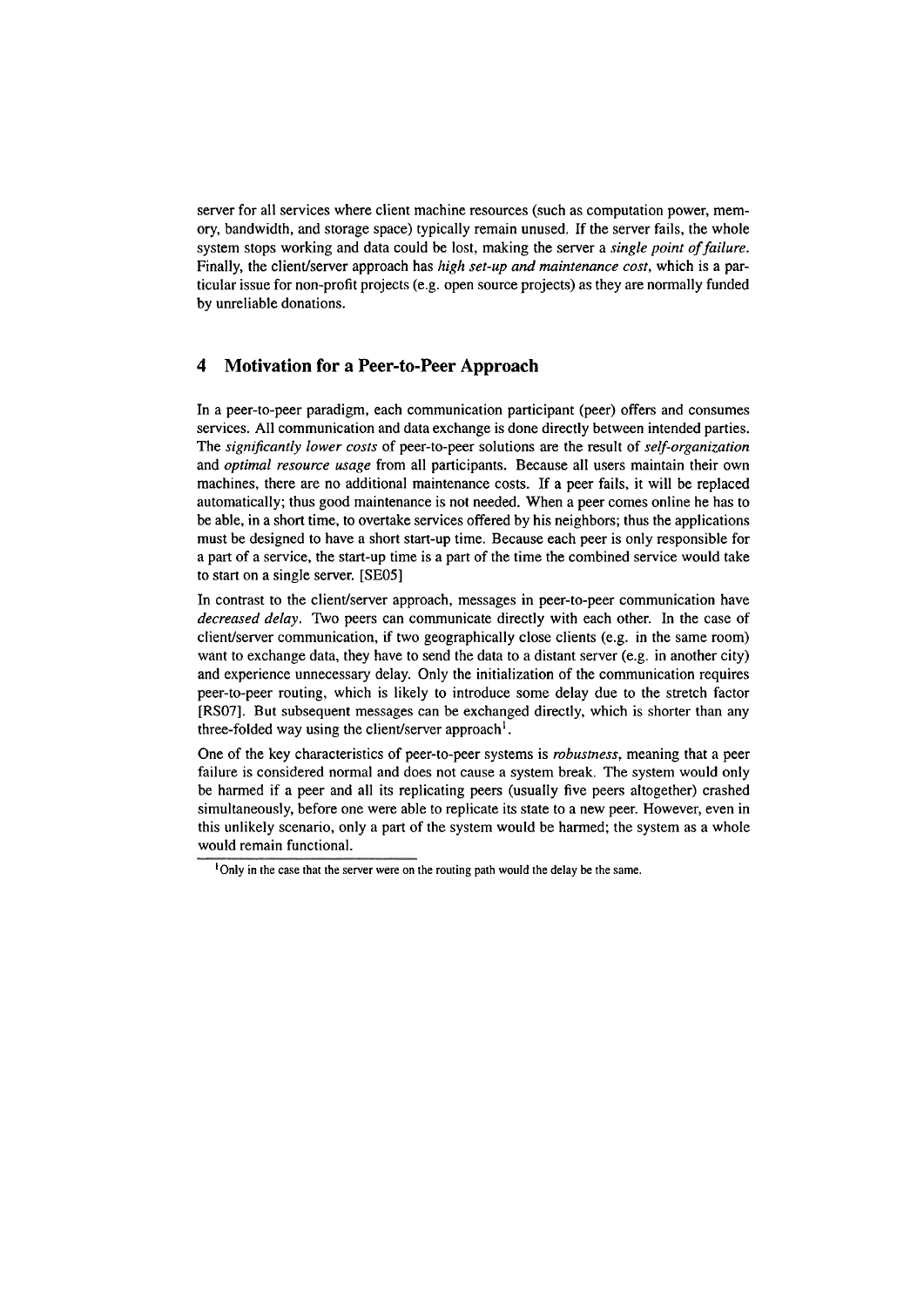server for all services where client machine resources (such as computation power, memory, bandwidth, and storage space) typically remain unused. If the server fails, the whole system stops working and data could be lost, making the server a *single point of failure.*  Finally, the client/server approach has *high set-up and maintenance cost*, which is a particular issue for non-profit projects (e.g. Open source projects) as they are normally funded by unreliable donations.

### **4 Motivation for a Peer-to-Peer Approach**

In a peer-to-peer paradigm, each communication participant (peer) offers and consumes services. All communication and data exchange is done directly between intended parties. The *significantly lower costs* of peer-to-peer solutions are the result of *selj-organization*  and *optimal resource usage* from all participants. Because all users maintain their own machines, there are no additional maintenance costs. If a peer fails, it will be replaced automatically; thus good maintenance is not needed. When a peer comes online he has to be able, in a short time, to overtake services offered by his neighbors; thus the applications must be designed to have a short start-up time. Because each peer is only responsible for a part of a service, the start-up time is a part of the time the combined service would take to start on a single server. [SE05]

In contrast to the client/server approach, messages in peer-to-peer communication have *decreased delay.* Two peers can communicate directly with each other. In the case of client/server communication, if two geographically close clients (e.g. in the same room) Want to exchange data, they have to send the data to a distant server (e.g. in another city) and experience unnecessary delay. Only the initialization of the communication requires peer-to-peer routing, which is likely to introduce some delay due to the stretch factor [RS07]. But subsequent messages can be exchanged directly, which is shorter than any three-folded way using the client/server approach<sup>1</sup>.

One of the key characteristics of peer-to-peer Systems is *robustness,* meaning that a peer failure is considered normal and does not cause a system break. The system would only be harmed if a peer and all its replicating peers (usually five peers altogether) crashed simultaneously, before one were able to replicate its state to a new peer. However, even in this unlikely scenario, only a part of the system would be harmed; the system as a whole would remain functional.

<sup>&#</sup>x27;Only in the case that the server were on the routing path would the delay **be** the Same.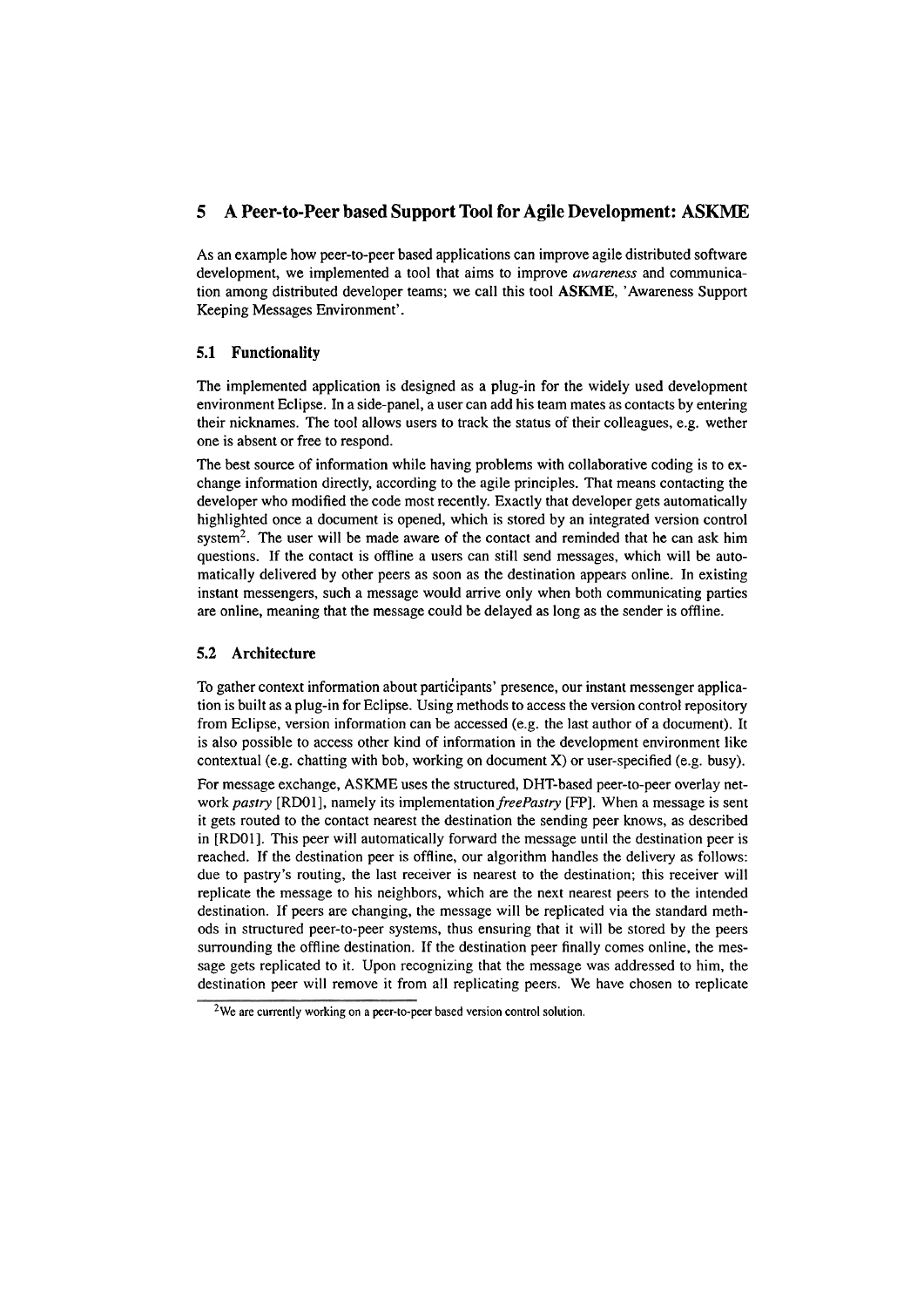# **5 A Peer-to-Peer based Support Tool for Agile Development: ASKME**

As an example how peer-to-peer based applications can improve agile distributed software development, we implemented a tool that aims to improve *awareness* and cornrnunication among distributed developer teams; we call this tool **ASKME,** 'Awareness Support Keeping Messages Environment'.

#### **5.1 Functionality**

The implemented application is designed as a plug-in for the widely used development environment Eclipse. In a side-panel, a user can add his team mates as contacts by entering their nicknames. The tool allows users to track the Status of their colleagues, e.g. wether one is absent or free to respond.

The best source of information while having problems with collaborative coding is to exchange information directly, according to the agile principles. That means contacting the developer who modified the code most recently. Exactly that developer gets automatically highlighted once a document is opened, which is stored by an integrated version control system<sup>2</sup>. The user will be made aware of the contact and reminded that he can ask him questions. If the contact is offline a users can still send messages, which will be automatically delivered by other peers as soon as the destination appears online. In existing instant messengers, such a message would arrive oniy when both communicating parties are online, meaning that the message could be delayed as long as the sender is offline.

#### **5.2 Architecture**

To gather context information about participants' presence, our instant messenger application is built as a plug-in for Eclipse. Using methods to access the version control repository from Eclipse, version information can be accessed (e.g. the last author of a document). It is also possible to access other kind of information in the development environment like contextual (e.g. chatting with bob, working on document X) or user-specified (e.g. busy).

For message exchange, ASKME uses the structured, DHT-based peer-to-peer overlay network *pastry* [RDOI], namely its implementation *freePastry* [FP]. When a message is sent it gets routed to the contact nearest the destination the sending peer knows, as described in [RDOI]. This peer will automatically fonvard the message until the destination peer is reached. If the destination peer is offline, our algorithm handles the delivery as follows: due to pastry's routing, the last receiver is nearest to the destination; this receiver will replicate the message to his neighbors, which are the next nearest peers to the intended destination. If peers are changing, the message will be replicated via the standard methods in structured peer-to-peer Systems, thus ensuring that it will be stored by the peers surrounding the offline destination. If the destination peer finally comes online, the message gets replicated to it. Upon recognizing that the message was addressed to him, the destination peer will remove it from all replicating peers. We have chosen to replicate

 $2$ We are currently working on a peer-to-peer based version control solution.